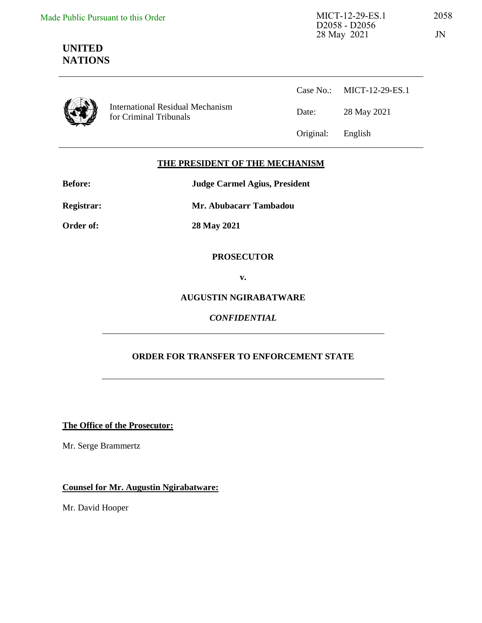# **UNITED NATIONS**

International Residual Mechanism for Criminal Tribunals

Case No.: MICT-12-29-ES.1 Date: 28 May 2021 Original: English

### **THE PRESIDENT OF THE MECHANISM**

| <b>Before:</b> | <b>Judge Carmel Agius, President</b> |  |  |
|----------------|--------------------------------------|--|--|
| Registrar:     | Mr. Abubacarr Tambadou               |  |  |
| Order of:      | 28 May 2021                          |  |  |

#### **PROSECUTOR**

**v.** 

#### **AUGUSTIN NGIRABATWARE**

#### *CONFIDENTIAL*

#### **ORDER FOR TRANSFER TO ENFORCEMENT STATE**

**The Office of the Prosecutor:**

Mr. Serge Brammertz

**Counsel for Mr. Augustin Ngirabatware:** 

Mr. David Hooper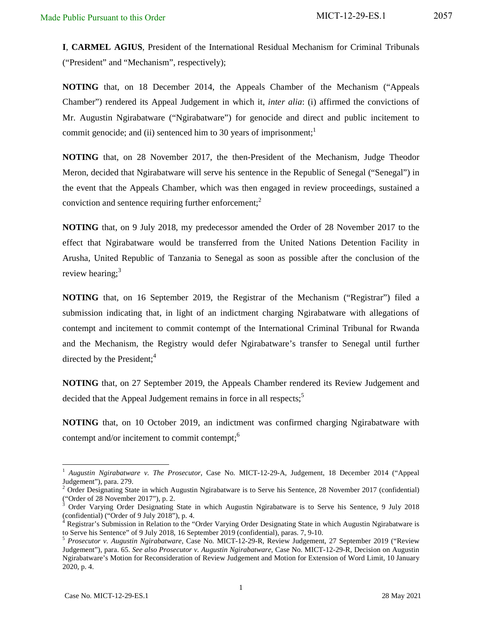**I**, **CARMEL AGIUS**, President of the International Residual Mechanism for Criminal Tribunals ("President" and "Mechanism", respectively);

**NOTING** that, on 18 December 2014, the Appeals Chamber of the Mechanism ("Appeals Chamber") rendered its Appeal Judgement in which it, *inter alia*: (i) affirmed the convictions of Mr. Augustin Ngirabatware ("Ngirabatware") for genocide and direct and public incitement to commit genocide; and (ii) sentenced him to 30 years of imprisonment;<sup>1</sup>

**NOTING** that, on 28 November 2017, the then-President of the Mechanism, Judge Theodor Meron, decided that Ngirabatware will serve his sentence in the Republic of Senegal ("Senegal") in the event that the Appeals Chamber, which was then engaged in review proceedings, sustained a conviction and sentence requiring further enforcement; $<sup>2</sup>$ </sup>

**NOTING** that, on 9 July 2018, my predecessor amended the Order of 28 November 2017 to the effect that Ngirabatware would be transferred from the United Nations Detention Facility in Arusha, United Republic of Tanzania to Senegal as soon as possible after the conclusion of the review hearing; $3$ 

**NOTING** that, on 16 September 2019, the Registrar of the Mechanism ("Registrar") filed a submission indicating that, in light of an indictment charging Ngirabatware with allegations of contempt and incitement to commit contempt of the International Criminal Tribunal for Rwanda and the Mechanism, the Registry would defer Ngirabatware's transfer to Senegal until further directed by the President; $4$ 

**NOTING** that, on 27 September 2019, the Appeals Chamber rendered its Review Judgement and decided that the Appeal Judgement remains in force in all respects;<sup>5</sup>

**NOTING** that, on 10 October 2019, an indictment was confirmed charging Ngirabatware with contempt and/or incitement to commit contempt; $<sup>6</sup>$ </sup>

-

<sup>1</sup> *Augustin Ngirabatware v. The Prosecutor*, Case No. MICT-12-29-A, Judgement, 18 December 2014 ("Appeal Judgement"), para. 279.

<sup>2</sup> Order Designating State in which Augustin Ngirabatware is to Serve his Sentence, 28 November 2017 (confidential) ("Order of 28 November 2017"), p. 2.

<sup>3</sup> Order Varying Order Designating State in which Augustin Ngirabatware is to Serve his Sentence, 9 July 2018 (confidential) ("Order of 9 July 2018"), p. 4.

<sup>4</sup> Registrar's Submission in Relation to the "Order Varying Order Designating State in which Augustin Ngirabatware is to Serve his Sentence" of 9 July 2018, 16 September 2019 (confidential), paras. 7, 9-10.

<sup>5</sup> *Prosecutor v. Augustin Ngirabatware*, Case No. MICT-12-29-R, Review Judgement, 27 September 2019 ("Review Judgement"), para. 65. *See also Prosecutor v. Augustin Ngirabatware*, Case No. MICT-12-29-R, Decision on Augustin Ngirabatware's Motion for Reconsideration of Review Judgement and Motion for Extension of Word Limit, 10 January 2020, p. 4.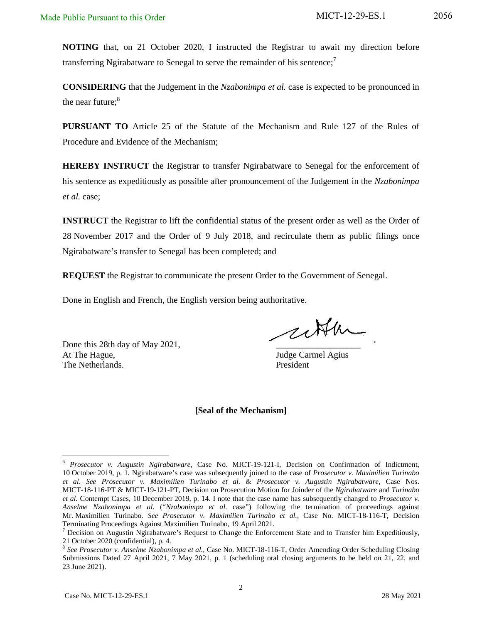**NOTING** that, on 21 October 2020, I instructed the Registrar to await my direction before transferring Ngirabatware to Senegal to serve the remainder of his sentence;<sup>7</sup>

**CONSIDERING** that the Judgement in the *Nzabonimpa et al.* case is expected to be pronounced in the near future: $8<sup>8</sup>$ 

**PURSUANT TO** Article 25 of the Statute of the Mechanism and Rule 127 of the Rules of Procedure and Evidence of the Mechanism;

**HEREBY INSTRUCT** the Registrar to transfer Ngirabatware to Senegal for the enforcement of his sentence as expeditiously as possible after pronouncement of the Judgement in the *Nzabonimpa et al.* case;

**INSTRUCT** the Registrar to lift the confidential status of the present order as well as the Order of 28 November 2017 and the Order of 9 July 2018, and recirculate them as public filings once Ngirabatware's transfer to Senegal has been completed; and

**REQUEST** the Registrar to communicate the present Order to the Government of Senegal.

Done in English and French, the English version being authoritative.

Done this 28th day of May 2021, At The Hague, Judge Carmel Agius The Netherlands. President

cetter

#### **[Seal of the Mechanism]**

<sup>-</sup>6 *Prosecutor v. Augustin Ngirabatware*, Case No. MICT-19-121-I, Decision on Confirmation of Indictment, 10 October 2019, p. 1. Ngirabatware's case was subsequently joined to the case of *Prosecutor v. Maximilien Turinabo et al*. *See Prosecutor v. Maximilien Turinabo et al.* & *Prosecutor v. Augustin Ngirabatware*, Case Nos. MICT-18-116-PT & MICT-19-121-PT, Decision on Prosecution Motion for Joinder of the *Ngirabatware* and *Turinabo et al.* Contempt Cases, 10 December 2019, p. 14. I note that the case name has subsequently changed to *Prosecutor v. Anselme Nzabonimpa et al.* ("*Nzabonimpa et al.* case") following the termination of proceedings against Mr. Maximilien Turinabo. *See Prosecutor v. Maximilien Turinabo et al.*, Case No. MICT-18-116-T, Decision Terminating Proceedings Against Maximilien Turinabo, 19 April 2021.

<sup>&</sup>lt;sup>7</sup> Decision on Augustin Ngirabatware's Request to Change the Enforcement State and to Transfer him Expeditiously, 21 October 2020 (confidential), p. 4.

<sup>8</sup> *See Prosecutor v. Anselme Nzabonimpa et al.*, Case No. MICT-18-116-T, Order Amending Order Scheduling Closing Submissions Dated 27 April 2021, 7 May 2021, p. 1 (scheduling oral closing arguments to be held on 21, 22, and 23 June 2021).